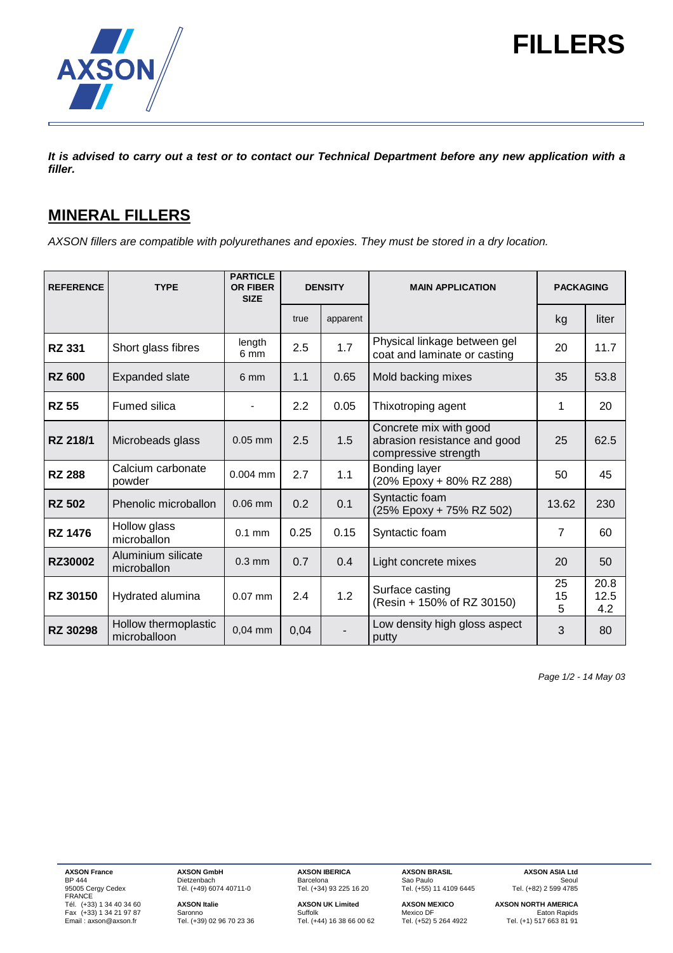

# **FILLERS**

*It is advised to carry out a test or to contact our Technical Department before any new application with a filler.*

# **MINERAL FILLERS**

*AXSON fillers are compatible with polyurethanes and epoxies. They must be stored in a dry location.*

| <b>REFERENCE</b> | <b>TYPE</b>                          | <b>PARTICLE</b><br><b>OR FIBER</b><br><b>SIZE</b> | <b>DENSITY</b> |          | <b>MAIN APPLICATION</b>                                                        | <b>PACKAGING</b> |                     |
|------------------|--------------------------------------|---------------------------------------------------|----------------|----------|--------------------------------------------------------------------------------|------------------|---------------------|
|                  |                                      |                                                   | true           | apparent |                                                                                | kg               | liter               |
| <b>RZ 331</b>    | Short glass fibres                   | length<br>6 mm                                    | 2.5            | 1.7      | Physical linkage between gel<br>coat and laminate or casting                   | 20               | 11.7                |
| <b>RZ 600</b>    | <b>Expanded slate</b>                | 6 mm                                              | 1.1            | 0.65     | Mold backing mixes                                                             | 35               | 53.8                |
| <b>RZ 55</b>     | <b>Fumed silica</b>                  |                                                   | 2.2            | 0.05     | Thixotroping agent                                                             | 1                | 20                  |
| RZ 218/1         | Microbeads glass                     | $0.05$ mm                                         | 2.5            | 1.5      | Concrete mix with good<br>abrasion resistance and good<br>compressive strength | 25               | 62.5                |
| <b>RZ 288</b>    | Calcium carbonate<br>powder          | $0.004$ mm                                        | 2.7            | 1.1      | Bonding layer<br>(20% Epoxy + 80% RZ 288)                                      | 50               | 45                  |
| <b>RZ 502</b>    | Phenolic microballon                 | $0.06$ mm                                         | 0.2            | 0.1      | Syntactic foam<br>(25% Epoxy + 75% RZ 502)                                     | 13.62            | 230                 |
| <b>RZ 1476</b>   | Hollow glass<br>microballon          | $0.1$ mm                                          | 0.25           | 0.15     | Syntactic foam                                                                 | 7                | 60                  |
| <b>RZ30002</b>   | Aluminium silicate<br>microballon    | $0.3$ mm                                          | 0.7            | 0.4      | Light concrete mixes                                                           | 20               | 50                  |
| <b>RZ 30150</b>  | Hydrated alumina                     | $0.07$ mm                                         | 2.4            | 1.2      | Surface casting<br>(Resin + 150% of RZ 30150)                                  | 25<br>15<br>5    | 20.8<br>12.5<br>4.2 |
| <b>RZ 30298</b>  | Hollow thermoplastic<br>microballoon | $0,04$ mm                                         | 0,04           |          | Low density high gloss aspect<br>putty                                         | 3                | 80                  |

*Page 1/2 - 14 May 03*

BF 444<br>95005 Cergy Cedex<br>FRANCE Tel. (+33) 1 34 40 34 60<br>
Fax (+33) 1 34 21 97 87 Saronno Suffolk **AXSON UK Limited AXSON MEXICO** AXSON NORTH AMERICA<br>
Fax (+33) 1 34 21 97 87 Saronno Suffolk Suffolk Mexico DF Eaton Rapids<br>
Email : axson@axson.fr Tel. (+3

**AXSON France AXSON GmbH AXSON IBERICA AXSON BRASIL AXSON ASIA Ltd**<br>BP 444 **Dietzenbach Barcelona** Barcelona Sao Paulo Seoul **AXSON GmbH**<br>
Dietzenbach Barcelona Sao Paulo Seoul<br>
Tél. (+49) 6074 40711-0 Tel. (+34) 93 225 16 20 Tel. (+55) 11 4109 6445 Tel. (+82) 2 599 4785

Edite.....<br>Tel. (+39) 02 96 70 23 36

 $2001$  Cence Centre<br>Tel. (+55) 11 4109 6445

**Tél. (+33) AXSON Instituted AXSON AXSON AXSON AXSON NORTH AMERICA**<br>Saronno **Culto Axson UK Limited** Mexico DF Antion Rapids